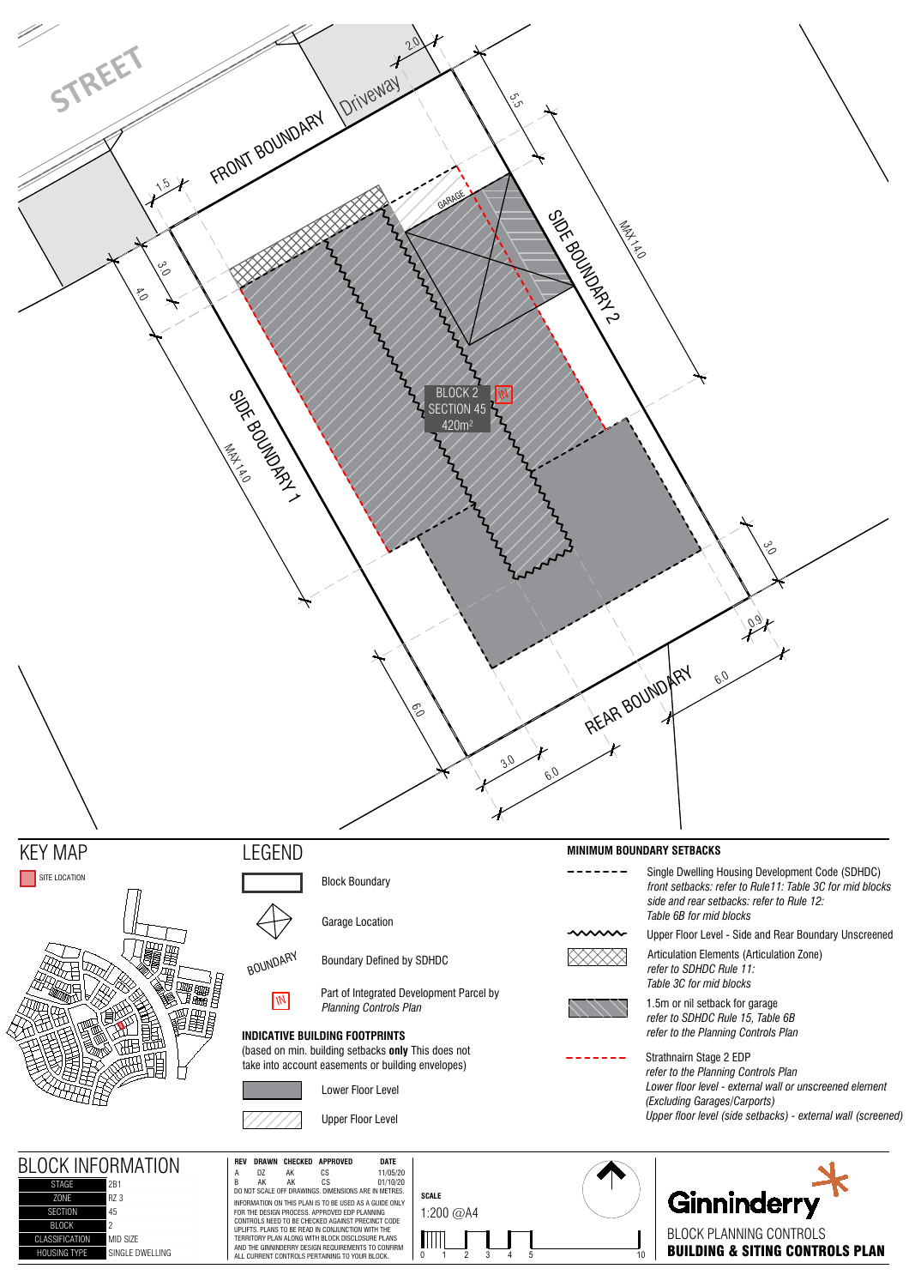